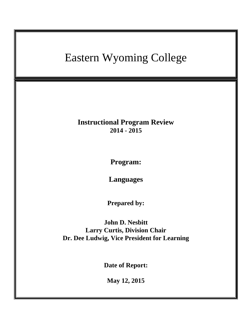# Eastern Wyoming College **Instructional Program Review 2014 - 2015 Program: Languages Prepared by: John D. Nesbitt Larry Curtis, Division Chair Dr. Dee Ludwig, Vice President for Learning Date of Report: May 12, 2015**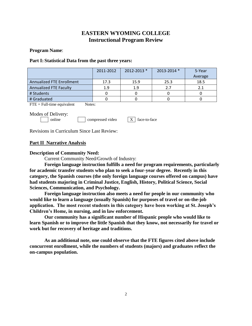# **EASTERN WYOMING COLLEGE Instructional Program Review**

#### **Program Name**:

#### **Part I: Statistical Data from the past three years:**

|                                  | 2011-2012 | $2012 - 2013$ * | 2013-2014 * | 5-Year<br>Average |
|----------------------------------|-----------|-----------------|-------------|-------------------|
| <b>Annualized FTE Enrollment</b> | 17.3      | 15.9            | 25.3        | 18.5              |
| Annualized FTE Faculty           | 1.9       | 1.9             | 2.7         | 2.1               |
| # Students                       |           |                 |             |                   |
| # Graduated                      |           |                 |             |                   |

 $\text{FTE} = \text{Full-time equivalent}$  Notes:

Modes of Delivery:

online compressed video  $X \mid$  face-to-face

Revisions in Curriculum Since Last Review:

## **Part II Narrative Analysis**

## **Description of Community Need:**

Current Community Need/Growth of Industry:

**Foreign language instruction fulfills a need for program requirements, particularly for academic transfer students who plan to seek a four-year degree. Recently in this category, the Spanish courses (the only foreign language courses offered on campus) have had students majoring in Criminal Justice, English, History, Political Science, Social Sciences, Communication, and Psychology.**

**Foreign language instruction also meets a need for people in our community who would like to learn a language (usually Spanish) for purposes of travel or on-the-job application. The most recent students in this category have been working at St. Joseph's Children's Home, in nursing, and in law enforcement.**

**Our community has a significant number of Hispanic people who would like to learn Spanish or to improve the little Spanish that they know, not necessarily for travel or work but for recovery of heritage and traditions.**

**As an additional note, one could observe that the FTE figures cited above include concurrent enrollment, while the numbers of students (majors) and graduates reflect the on-campus population.**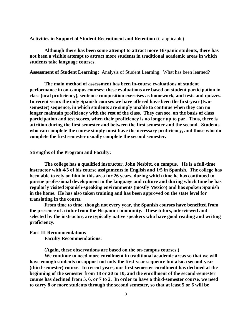**Activities in Support of Student Recruitment and Retention** (if applicable)

**Although there has been some attempt to attract more Hispanic students, there has not been a visible attempt to attract more students in traditional academic areas in which students take language courses.**

**Assessment of Student Learning:** Analysis of Student Learning. What has been learned?

**The main method of assessment has been in-course evaluations of student performance in on-campus courses; these evaluations are based on student participation in class (oral proficiency), sentence composition exercises as homework, and tests and quizzes. In recent years the only Spanish courses we have offered have been the first-year (twosemester) sequence, in which students are simply unable to continue when they can no longer maintain proficiency with the rest of the class. They can see, on the basis of class participation and test scores, when their proficiency is no longer up to par. Thus, there is attrition during the first semester and between the first semester and the second. Students who can complete the course simply must have the necessary proficiency, and those who do complete the first semester usually complete the second semester.**

#### **Strengths of the Program and Faculty:**

**The college has a qualified instructor, John Nesbitt, on campus. He is a full-time instructor with 4/5 of his course assignments in English and 1/5 in Spanish. The college has been able to rely on him in this area for 26 years, during which time he has continued to pursue professional development in the language and culture and during which time he has regularly visited Spanish-speaking environments (mostly Mexico) and has spoken Spanish in the home. He has also taken training and has been approved on the state level for translating in the courts.**

**From time to time, though not every year, the Spanish courses have benefited from the presence of a tutor from the Hispanic community. These tutors, interviewed and selected by the instructor, are typically native speakers who have good reading and writing proficiency.**

#### **Part III Recommendations**

**Faculty Recommendations:** 

**(Again, these observations are based on the on-campus courses.)**

**We continue to need more enrollment in traditional academic areas so that we will have enough students to support not only the first-year sequence but also a second-year (third-semester) course. In recent years, our first-semester enrollment has declined at the beginning of the semester from 18 or 20 to 10, and the enrollment of the second-semester course has declined from 5, 6, or 7 to 2. In order to have a third-semester course, we need to carry 8 or more students through the second semester, so that at least 5 or 6 will be**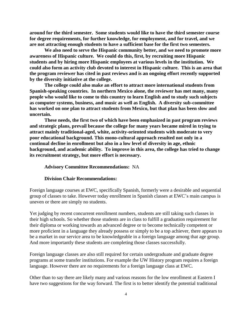**around for the third semester. Some students would like to have the third semester course for degree requirements, for further knowledge, for employment, and for travel, and we are not attracting enough students to have a sufficient base for the first two semesters.**

**We also need to serve the Hispanic community better, and we need to promote more awareness of Hispanic culture. We could do this, first, by recruiting more Hispanic students and by hiring more Hispanic employees at various levels in the institution. We could also form an activity club devoted to interest in Hispanic culture. This is an area that the program reviewer has cited in past reviews and is an ongoing effort recently supported by the diversity initiative at the college.**

**The college could also make an effort to attract more international students from Spanish-speaking countries. In northern Mexico alone, the reviewer has met many, many people who would like to come to this country to learn English and to study such subjects as computer systems, business, and music as well as English. A diversity sub-committee has worked on one plan to attract students from Mexico, but that plan has been slow and uncertain.**

**These needs, the first two of which have been emphasized in past program reviews and strategic plans, prevail because the college for many years became mired in trying to attract mainly traditional-aged, white, activity-oriented students with moderate to very poor educational background. This mono-cultural approach resulted not only in a continual decline in enrollment but also in a low level of diversity in age, ethnic background, and academic ability. To improve in this area, the college has tried to change its recruitment strategy, but more effort is necessary.**

#### **Advisory Committee Recommendations:** NA

#### **Division Chair Recommendations:**

Foreign language courses at EWC, specifically Spanish, formerly were a desirable and sequential group of classes to take. However today enrollment in Spanish classes at EWC's main campus is uneven or there are simply no students.

Yet judging by recent concurrent enrollment numbers, students are still taking such classes in their high schools. So whether those students are in class to fulfill a graduation requirement for their diploma or working towards an advanced degree or to become technically competent or more proficient in a language they already possess or simply to be a top achiever, there appears to be a market in our service area to be knowledgeable in a foreign language among that age group. And more importantly these students are completing those classes successfully.

Foreign language classes are also still required for certain undergraduate and graduate degree programs at some transfer institutions. For example the UW History program requires a foreign language. However there are no requirements for a foreign language class at EWC.

Other than to say there are likely many and various reasons for the low enrollment at Eastern I have two suggestions for the way forward. The first is to better identify the potential traditional